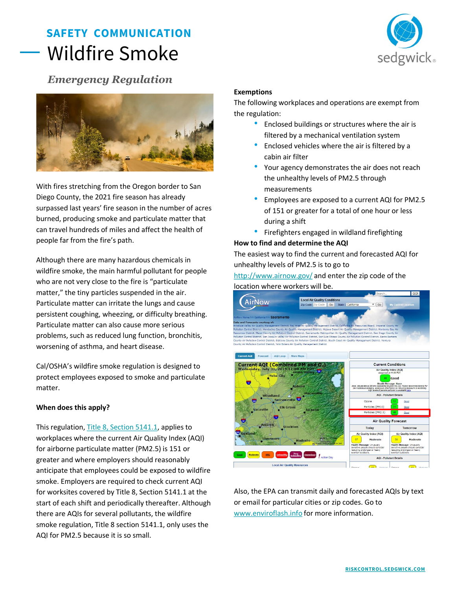# **SAFETY COMMUNICATION** Wildfire Smoke



## *Emergency Regulation*



With fires stretching from the Oregon border to San Diego County, the 2021 fire season has already surpassed last years' fire season in the number of acres burned, producing smoke and particulate matter that can travel hundreds of miles and affect the health of people far from the fire's path.

Although there are many hazardous chemicals in wildfire smoke, the main harmful pollutant for people who are not very close to the fire is "particulate matter," the tiny particles suspended in the air. Particulate matter can irritate the lungs and cause persistent coughing, wheezing, or difficulty breathing. Particulate matter can also cause more serious problems, such as reduced lung function, bronchitis, worsening of asthma, and heart disease.

Cal/OSHA's wildfire smoke regulation is designed to protect employees exposed to smoke and particulate matter.

### **When does this apply?**

This regulation, [Title 8, Section 5141.1,](https://www.dir.ca.gov/title8/5141_1.html:~:text=(d)%20The%20requirements%20in%20Title,AQI%20applicable%20to%20the%20worksite.&text=5%20is%20151%20or%20more,and%20periodically%20during%20each%20shift.) applies to workplaces where the current Air Quality Index (AQI) for airborne particulate matter (PM2.5) is 151 or greater and where employers should reasonably anticipate that employees could be exposed to wildfire smoke. Employers are required to check current AQI for worksites covered by Title 8, Section 5141.1 at the start of each shift and periodically thereafter. Although there are AQIs for several pollutants, the wildfire smoke regulation, Title 8 section 5141.1, only uses the AQI for PM2.5 because it is so small.

#### **Exemptions**

The following workplaces and operations are exempt from the regulation:

- Enclosed buildings or structures where the air is filtered by a mechanical ventilation system
- Enclosed vehicles where the air is filtered by a cabin air filter
- Your agency demonstrates the air does not reach the unhealthy levels of PM2.5 through measurements
- Employees are exposed to a current AQI for PM2.5 of 151 or greater for a total of one hour or less during a shift
- Firefighters engaged in wildland firefighting

#### **How to find and determine the AQI**

The easiest way to find the current and forecasted AQI for unhealthy levels of PM2.5 is to go to

<http://www.airnow.gov/> and enter the zip code of the location where workers will be.



Also, the EPA can transmit daily and forecasted AQIs by text or email for particular cities or zip codes. Go to [www.enviroflash.info](http://www.enviroflash.info/) for more information.